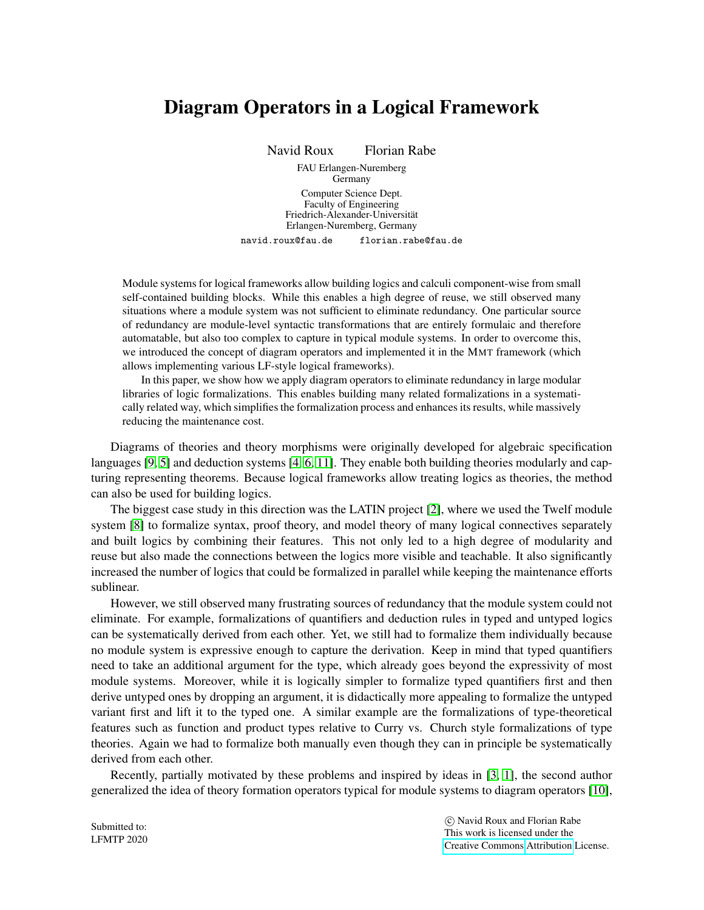## Diagram Operators in a Logical Framework

Navid Roux Florian Rabe

FAU Erlangen-Nuremberg **Germany** Computer Science Dept. Faculty of Engineering Friedrich-Alexander-Universitat¨ Erlangen-Nuremberg, Germany navid.roux@fau.de florian.rabe@fau.de

Module systems for logical frameworks allow building logics and calculi component-wise from small self-contained building blocks. While this enables a high degree of reuse, we still observed many situations where a module system was not sufficient to eliminate redundancy. One particular source of redundancy are module-level syntactic transformations that are entirely formulaic and therefore automatable, but also too complex to capture in typical module systems. In order to overcome this, we introduced the concept of diagram operators and implemented it in the MMT framework (which allows implementing various LF-style logical frameworks).

In this paper, we show how we apply diagram operators to eliminate redundancy in large modular libraries of logic formalizations. This enables building many related formalizations in a systematically related way, which simplifies the formalization process and enhances its results, while massively reducing the maintenance cost.

Diagrams of theories and theory morphisms were originally developed for algebraic specification languages [\[9,](#page-2-0) [5\]](#page-1-0) and deduction systems [\[4,](#page-1-1) [6,](#page-1-2) [11\]](#page-2-1). They enable both building theories modularly and capturing representing theorems. Because logical frameworks allow treating logics as theories, the method can also be used for building logics.

The biggest case study in this direction was the LATIN project [\[2\]](#page-1-3), where we used the Twelf module system [\[8\]](#page-1-4) to formalize syntax, proof theory, and model theory of many logical connectives separately and built logics by combining their features. This not only led to a high degree of modularity and reuse but also made the connections between the logics more visible and teachable. It also significantly increased the number of logics that could be formalized in parallel while keeping the maintenance efforts sublinear.

However, we still observed many frustrating sources of redundancy that the module system could not eliminate. For example, formalizations of quantifiers and deduction rules in typed and untyped logics can be systematically derived from each other. Yet, we still had to formalize them individually because no module system is expressive enough to capture the derivation. Keep in mind that typed quantifiers need to take an additional argument for the type, which already goes beyond the expressivity of most module systems. Moreover, while it is logically simpler to formalize typed quantifiers first and then derive untyped ones by dropping an argument, it is didactically more appealing to formalize the untyped variant first and lift it to the typed one. A similar example are the formalizations of type-theoretical features such as function and product types relative to Curry vs. Church style formalizations of type theories. Again we had to formalize both manually even though they can in principle be systematically derived from each other.

Recently, partially motivated by these problems and inspired by ideas in [\[3,](#page-1-5) [1\]](#page-1-6), the second author generalized the idea of theory formation operators typical for module systems to diagram operators [\[10\]](#page-2-2),

 c Navid Roux and Florian Rabe This work is licensed under the [Creative Commons](http://creativecommons.org) [Attribution](http://creativecommons.org/licenses/by/3.0/) License.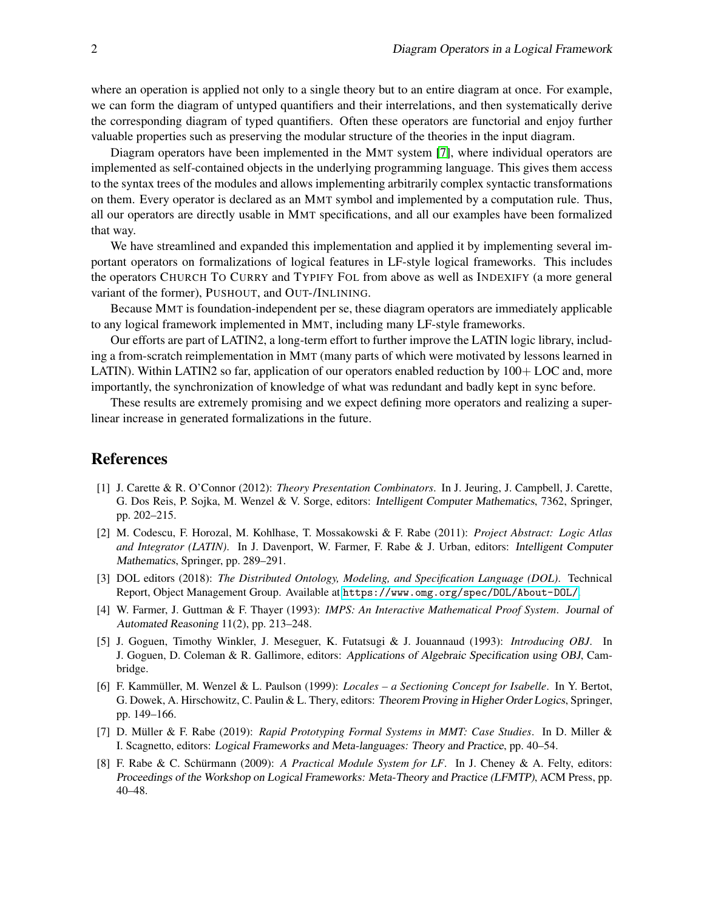where an operation is applied not only to a single theory but to an entire diagram at once. For example, we can form the diagram of untyped quantifiers and their interrelations, and then systematically derive the corresponding diagram of typed quantifiers. Often these operators are functorial and enjoy further valuable properties such as preserving the modular structure of the theories in the input diagram.

Diagram operators have been implemented in the MMT system [\[7\]](#page-1-7), where individual operators are implemented as self-contained objects in the underlying programming language. This gives them access to the syntax trees of the modules and allows implementing arbitrarily complex syntactic transformations on them. Every operator is declared as an MMT symbol and implemented by a computation rule. Thus, all our operators are directly usable in MMT specifications, and all our examples have been formalized that way.

We have streamlined and expanded this implementation and applied it by implementing several important operators on formalizations of logical features in LF-style logical frameworks. This includes the operators CHURCH TO CURRY and TYPIFY FOL from above as well as INDEXIFY (a more general variant of the former), PUSHOUT, and OUT-/INLINING.

Because MMT is foundation-independent per se, these diagram operators are immediately applicable to any logical framework implemented in MMT, including many LF-style frameworks.

Our efforts are part of LATIN2, a long-term effort to further improve the LATIN logic library, including a from-scratch reimplementation in MMT (many parts of which were motivated by lessons learned in LATIN). Within LATIN2 so far, application of our operators enabled reduction by  $100+$  LOC and, more importantly, the synchronization of knowledge of what was redundant and badly kept in sync before.

These results are extremely promising and we expect defining more operators and realizing a superlinear increase in generated formalizations in the future.

## References

- <span id="page-1-6"></span>[1] J. Carette & R. O'Connor (2012): *Theory Presentation Combinators*. In J. Jeuring, J. Campbell, J. Carette, G. Dos Reis, P. Sojka, M. Wenzel & V. Sorge, editors: Intelligent Computer Mathematics, 7362, Springer, pp. 202–215.
- <span id="page-1-3"></span>[2] M. Codescu, F. Horozal, M. Kohlhase, T. Mossakowski & F. Rabe (2011): *Project Abstract: Logic Atlas and Integrator (LATIN)*. In J. Davenport, W. Farmer, F. Rabe & J. Urban, editors: Intelligent Computer Mathematics, Springer, pp. 289–291.
- <span id="page-1-5"></span>[3] DOL editors (2018): *The Distributed Ontology, Modeling, and Specification Language (DOL)*. Technical Report, Object Management Group. Available at <https://www.omg.org/spec/DOL/About-DOL/>.
- <span id="page-1-1"></span>[4] W. Farmer, J. Guttman & F. Thayer (1993): *IMPS: An Interactive Mathematical Proof System*. Journal of Automated Reasoning 11(2), pp. 213–248.
- <span id="page-1-0"></span>[5] J. Goguen, Timothy Winkler, J. Meseguer, K. Futatsugi & J. Jouannaud (1993): *Introducing OBJ*. In J. Goguen, D. Coleman & R. Gallimore, editors: Applications of Algebraic Specification using OBJ, Cambridge.
- <span id="page-1-2"></span>[6] F. Kammüller, M. Wenzel & L. Paulson (1999): *Locales – a Sectioning Concept for Isabelle*. In Y. Bertot, G. Dowek, A. Hirschowitz, C. Paulin & L. Thery, editors: Theorem Proving in Higher Order Logics, Springer, pp. 149–166.
- <span id="page-1-7"></span>[7] D. Müller & F. Rabe (2019): Rapid Prototyping Formal Systems in MMT: Case Studies. In D. Miller & I. Scagnetto, editors: Logical Frameworks and Meta-languages: Theory and Practice, pp. 40–54.
- <span id="page-1-4"></span>[8] F. Rabe & C. Schürmann (2009): A Practical Module System for LF. In J. Cheney & A. Felty, editors: Proceedings of the Workshop on Logical Frameworks: Meta-Theory and Practice (LFMTP), ACM Press, pp. 40–48.